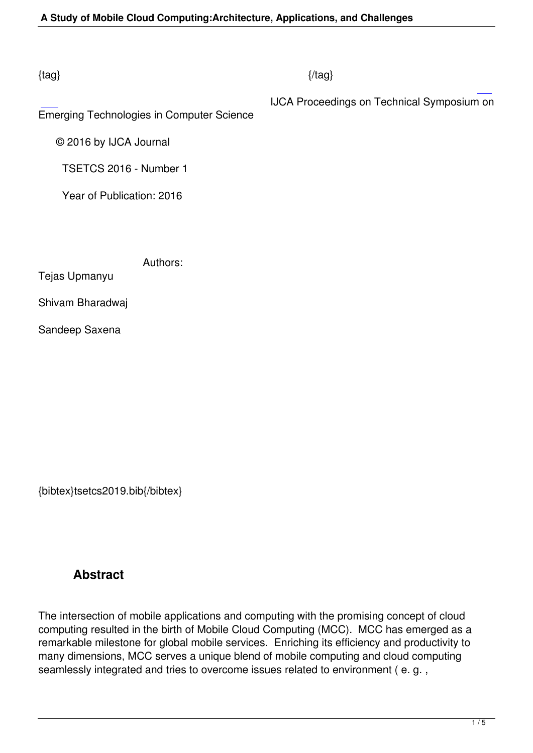### $\{tag\}$

IJCA Proceedings on Technical Symposium on

Emerging Technologies in Computer Science

 [©](http://research.ijcaonline.org/tsetcs2016/number1/tsetcs2019.pdf) 2016 by IJCA Journal

TSETCS 2016 - Number 1

Year of Publication: 2016

Authors:

Tejas Upmanyu

Shivam Bharadwaj

Sandeep Saxena

{bibtex}tsetcs2019.bib{/bibtex}

## **Abstract**

The intersection of mobile applications and computing with the promising concept of cloud computing resulted in the birth of Mobile Cloud Computing (MCC). MCC has emerged as a remarkable milestone for global mobile services. Enriching its efficiency and productivity to many dimensions, MCC serves a unique blend of mobile computing and cloud computing seamlessly integrated and tries to overcome issues related to environment ( e. g. ,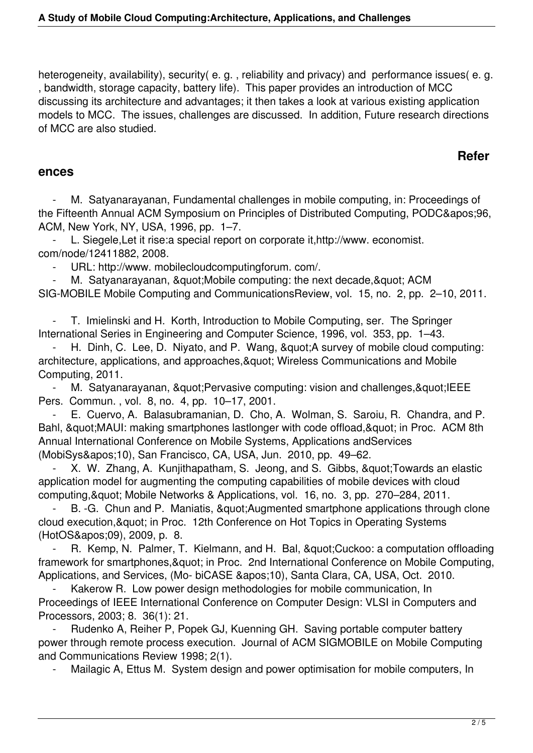heterogeneity, availability), security(e.g., reliability and privacy) and performance issues(e.g. , bandwidth, storage capacity, battery life). This paper provides an introduction of MCC discussing its architecture and advantages; it then takes a look at various existing application models to MCC. The issues, challenges are discussed. In addition, Future research directions of MCC are also studied.

# **Refer**

#### **ences**

M. Satyanarayanan, Fundamental challenges in mobile computing, in: Proceedings of the Fifteenth Annual ACM Symposium on Principles of Distributed Computing, PODC'96, ACM, New York, NY, USA, 1996, pp. 1–7.

L. Siegele, Let it rise: a special report on corporate it, http://www. economist. com/node/12411882, 2008.

URL: http://www. mobilecloudcomputingforum. com/.

M. Satyanarayanan, & quot; Mobile computing: the next decade, & quot; ACM SIG-MOBILE Mobile Computing and CommunicationsReview, vol. 15, no. 2, pp. 2–10, 2011.

T. Imielinski and H. Korth, Introduction to Mobile Computing, ser. The Springer International Series in Engineering and Computer Science, 1996, vol. 353, pp. 1–43.

H. Dinh, C. Lee, D. Niyato, and P. Wang, & quot; A survey of mobile cloud computing: architecture, applications, and approaches, & quot; Wireless Communications and Mobile Computing, 2011.

M. Satyanarayanan, & quot; Pervasive computing: vision and challenges, & quot; IEEE Pers. Commun. , vol. 8, no. 4, pp. 10–17, 2001.

 - E. Cuervo, A. Balasubramanian, D. Cho, A. Wolman, S. Saroiu, R. Chandra, and P. Bahl, " MAUI: making smartphones lastlonger with code offload, " in Proc. ACM 8th Annual International Conference on Mobile Systems, Applications andServices (MobiSys&apos:10), San Francisco, CA, USA, Jun. 2010, pp. 49–62.

X. W. Zhang, A. Kunjithapatham, S. Jeong, and S. Gibbs, & quot; Towards an elastic application model for augmenting the computing capabilities of mobile devices with cloud computing, & quot; Mobile Networks & Applications, vol. 16, no. 3, pp. 270–284, 2011.

B. -G. Chun and P. Maniatis, & quot; Augmented smartphone applications through clone cloud execution, & quot; in Proc. 12th Conference on Hot Topics in Operating Systems (HotOS'09), 2009, p. 8.

R. Kemp, N. Palmer, T. Kielmann, and H. Bal, " Cuckoo: a computation offloading framework for smartphones, & quot; in Proc. 2nd International Conference on Mobile Computing, Applications, and Services, (Mo- biCASE '10), Santa Clara, CA, USA, Oct. 2010.

Kakerow R. Low power design methodologies for mobile communication, In Proceedings of IEEE International Conference on Computer Design: VLSI in Computers and Processors, 2003; 8. 36(1): 21.

 - Rudenko A, Reiher P, Popek GJ, Kuenning GH. Saving portable computer battery power through remote process execution. Journal of ACM SIGMOBILE on Mobile Computing and Communications Review 1998; 2(1).

Mailagic A, Ettus M. System design and power optimisation for mobile computers, In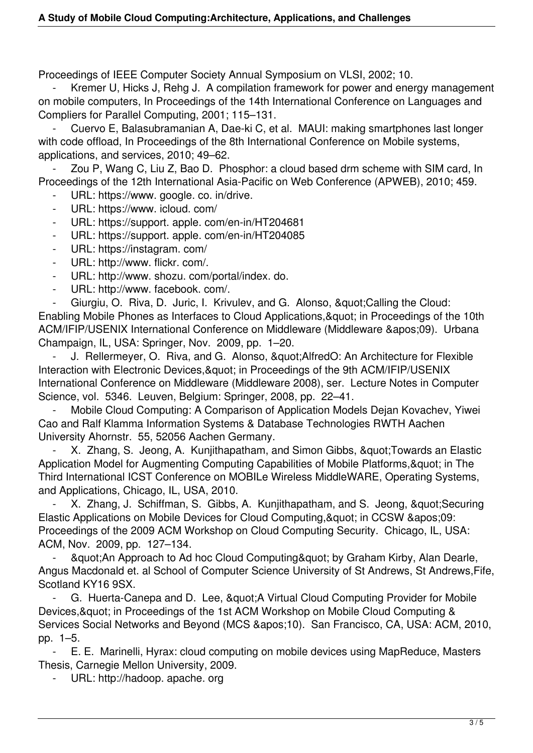Proceedings of IEEE Computer Society Annual Symposium on VLSI, 2002; 10.

Kremer U, Hicks J, Rehg J. A compilation framework for power and energy management on mobile computers, In Proceedings of the 14th International Conference on Languages and Compliers for Parallel Computing, 2001; 115–131.

Cuervo E, Balasubramanian A, Dae-ki C, et al. MAUI: making smartphones last longer with code offload, In Proceedings of the 8th International Conference on Mobile systems, applications, and services, 2010; 49–62.

Zou P, Wang C, Liu Z, Bao D. Phosphor: a cloud based drm scheme with SIM card, In Proceedings of the 12th International Asia-Pacific on Web Conference (APWEB), 2010; 459.

URL: https://www. google. co. in/drive.

- URL: https://www. icloud. com/
- URL: https://support. apple. com/en-in/HT204681
- URL: https://support. apple. com/en-in/HT204085
- URL: https://instagram. com/
- URL: http://www. flickr. com/.
- URL: http://www. shozu. com/portal/index. do.
- URL: http://www. facebook. com/.

Giurgiu, O. Riva, D. Juric, I. Krivulev, and G. Alonso, & quot: Calling the Cloud: Enabling Mobile Phones as Interfaces to Cloud Applications, & quot; in Proceedings of the 10th ACM/IFIP/USENIX International Conference on Middleware (Middleware &apos:09). Urbana Champaign, IL, USA: Springer, Nov. 2009, pp. 1–20.

J. Rellermeyer, O. Riva, and G. Alonso, & quot; AlfredO: An Architecture for Flexible Interaction with Electronic Devices, & quot; in Proceedings of the 9th ACM/IFIP/USENIX International Conference on Middleware (Middleware 2008), ser. Lecture Notes in Computer Science, vol. 5346. Leuven, Belgium: Springer, 2008, pp. 22–41.

Mobile Cloud Computing: A Comparison of Application Models Dejan Kovachev, Yiwei Cao and Ralf Klamma Information Systems & Database Technologies RWTH Aachen University Ahornstr. 55, 52056 Aachen Germany.

X. Zhang, S. Jeong, A. Kunjithapatham, and Simon Gibbs, &quot: Towards an Elastic Application Model for Augmenting Computing Capabilities of Mobile Platforms, & quot; in The Third International ICST Conference on MOBILe Wireless MiddleWARE, Operating Systems, and Applications, Chicago, IL, USA, 2010.

X. Zhang, J. Schiffman, S. Gibbs, A. Kunjithapatham, and S. Jeong, & quot; Securing Elastic Applications on Mobile Devices for Cloud Computing, & quot; in CCSW & apos: 09: Proceedings of the 2009 ACM Workshop on Cloud Computing Security. Chicago, IL, USA: ACM, Nov. 2009, pp. 127–134.

& quot; An Approach to Ad hoc Cloud Computing & quot; by Graham Kirby, Alan Dearle, Angus Macdonald et. al School of Computer Science University of St Andrews, St Andrews,Fife, Scotland KY16 9SX.

G. Huerta-Canepa and D. Lee, & quot; A Virtual Cloud Computing Provider for Mobile Devices, & quot; in Proceedings of the 1st ACM Workshop on Mobile Cloud Computing & Services Social Networks and Bevond (MCS &apos:10). San Francisco, CA, USA: ACM, 2010. pp. 1–5.

 - E. E. Marinelli, Hyrax: cloud computing on mobile devices using MapReduce, Masters Thesis, Carnegie Mellon University, 2009.

URL: http://hadoop. apache. org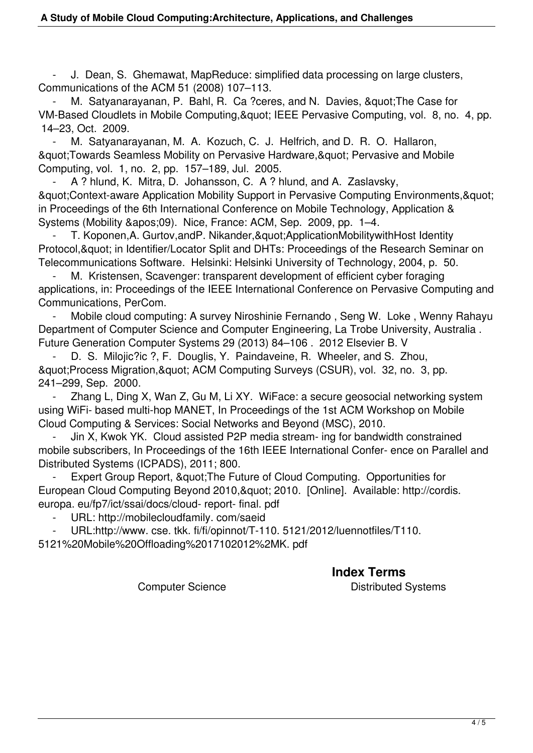- J. Dean, S. Ghemawat, MapReduce: simplified data processing on large clusters, Communications of the ACM 51 (2008) 107–113.

M. Satyanarayanan, P. Bahl, R. Ca ?ceres, and N. Davies, " The Case for VM-Based Cloudlets in Mobile Computing, & quot: IEEE Pervasive Computing, vol. 8, no. 4, pp. 14–23, Oct. 2009.

M. Satyanarayanan, M. A. Kozuch, C. J. Helfrich, and D. R. O. Hallaron, & auot: Towards Seamless Mobility on Pervasive Hardware, & quot: Pervasive and Mobile Computing, vol. 1, no. 2, pp. 157–189, Jul. 2005.

A ? hlund, K. Mitra, D. Johansson, C. A ? hlund, and A. Zaslavsky, & auot: Context-aware Application Mobility Support in Pervasive Computing Environments, & quot; in Proceedings of the 6th International Conference on Mobile Technology, Application & Systems (Mobility &apos:09). Nice, France: ACM, Sep. 2009, pp. 1–4.

 - T. Koponen,A. Gurtov,andP. Nikander,"ApplicationMobilitywithHost Identity Protocol, & quot; in Identifier/Locator Split and DHTs: Proceedings of the Research Seminar on Telecommunications Software. Helsinki: Helsinki University of Technology, 2004, p. 50.

M. Kristensen, Scavenger: transparent development of efficient cyber foraging applications, in: Proceedings of the IEEE International Conference on Pervasive Computing and Communications, PerCom.

Mobile cloud computing: A survey Niroshinie Fernando, Seng W. Loke, Wenny Rahayu Department of Computer Science and Computer Engineering, La Trobe University, Australia . Future Generation Computer Systems 29 (2013) 84–106 . 2012 Elsevier B. V

D. S. Milojic?ic ?, F. Douglis, Y. Paindaveine, R. Wheeler, and S. Zhou, & auot: Process Migration, & auot; ACM Computing Surveys (CSUR), vol. 32, no. 3, pp. 241–299, Sep. 2000.

 - Zhang L, Ding X, Wan Z, Gu M, Li XY. WiFace: a secure geosocial networking system using WiFi- based multi-hop MANET, In Proceedings of the 1st ACM Workshop on Mobile Cloud Computing & Services: Social Networks and Beyond (MSC), 2010.

Jin X, Kwok YK. Cloud assisted P2P media stream- ing for bandwidth constrained mobile subscribers, In Proceedings of the 16th IEEE International Confer- ence on Parallel and Distributed Systems (ICPADS), 2011; 800.

Expert Group Report, & quot: The Future of Cloud Computing. Opportunities for European Cloud Computing Beyond 2010, & quot; 2010. [Online]. Available: http://cordis. europa. eu/fp7/ict/ssai/docs/cloud- report- final. pdf

URL: http://mobilecloudfamily. com/saeid

- URL:http://www. cse. tkk. fi/fi/opinnot/T-110. 5121/2012/luennotfiles/T110.

5121%20Mobile%20Offloading%2017102012%2MK. pdf

## **Index Terms**

Computer Science **Distributed Systems**